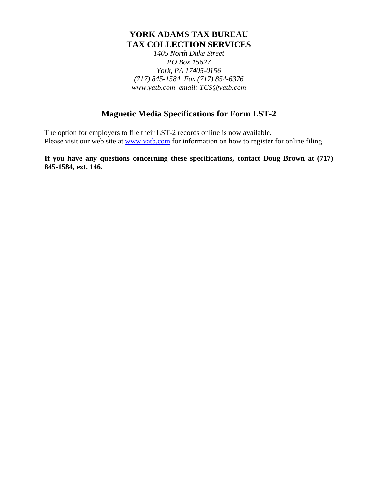# **YORK ADAMS TAX BUREAU TAX COLLECTION SERVICES**

*1405 North Duke Street PO Box 15627 York, PA 17405-0156 (717) 845-1584 Fax (717) 854-6376 www.yatb.com email: TCS@yatb.com*

# **Magnetic Media Specifications for Form LST-2**

The option for employers to file their LST-2 records online is now available. Please visit our web site at www.yatb.com for information on how to register for online filing.

**If you have any questions concerning these specifications, contact Doug Brown at (717) 845-1584, ext. 146.**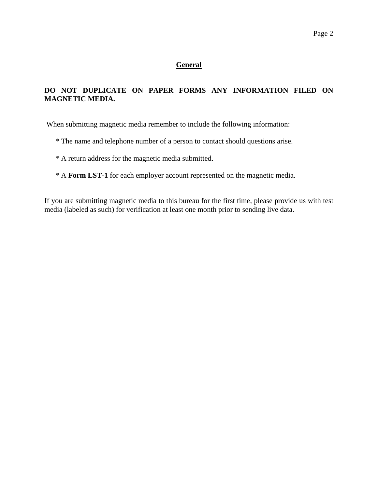#### **General**

## **DO NOT DUPLICATE ON PAPER FORMS ANY INFORMATION FILED ON MAGNETIC MEDIA.**

When submitting magnetic media remember to include the following information:

- \* The name and telephone number of a person to contact should questions arise.
- \* A return address for the magnetic media submitted.
- \* A **Form LST-1** for each employer account represented on the magnetic media.

If you are submitting magnetic media to this bureau for the first time, please provide us with test media (labeled as such) for verification at least one month prior to sending live data.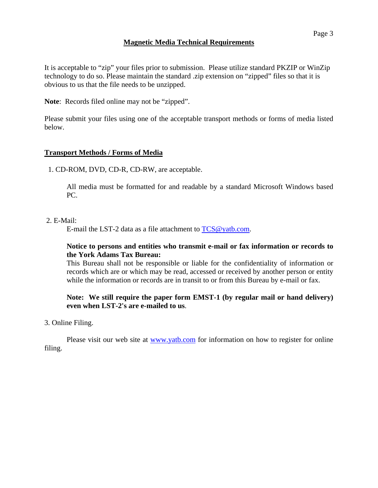## **Magnetic Media Technical Requirements**

It is acceptable to "zip" your files prior to submission. Please utilize standard PKZIP or WinZip technology to do so. Please maintain the standard .zip extension on "zipped" files so that it is obvious to us that the file needs to be unzipped.

**Note**: Records filed online may not be "zipped".

Please submit your files using one of the acceptable transport methods or forms of media listed below.

## **Transport Methods / Forms of Media**

1. CD-ROM, DVD, CD-R, CD-RW, are acceptable.

All media must be formatted for and readable by a standard Microsoft Windows based PC.

#### 2. E-Mail:

E-mail the LST-2 data as a file attachment to TCS@yatb.com.

## **Notice to persons and entities who transmit e-mail or fax information or records to the York Adams Tax Bureau:**

This Bureau shall not be responsible or liable for the confidentiality of information or records which are or which may be read, accessed or received by another person or entity while the information or records are in transit to or from this Bureau by e-mail or fax.

## **Note: We still require the paper form EMST-1 (by regular mail or hand delivery) even when LST-2's are e-mailed to us**.

#### 3. Online Filing.

 Please visit our web site at www.yatb.com for information on how to register for online filing.